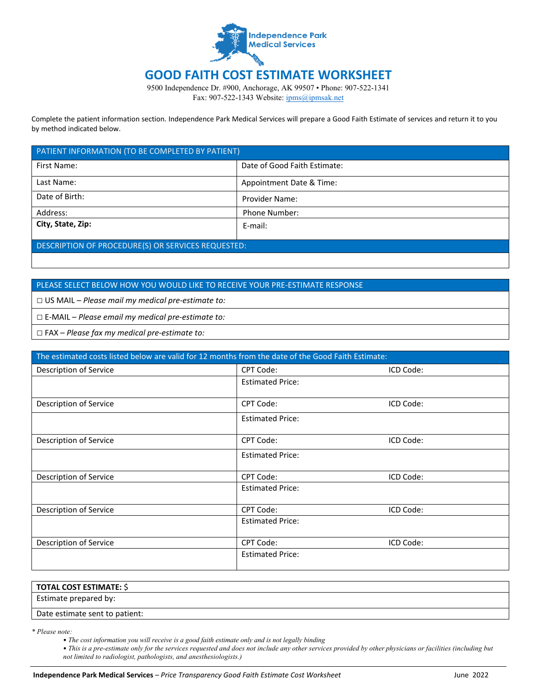

## **GOOD FAITH COST ESTIMATE WORKSHEET**

9500 Independence Dr. #900, Anchorage, AK 99507 • Phone: 907-522-1341 Fax: 907-522-1343 Website: [ipms@ipmsak.net](http://www.aseahealth.org/)

Complete the patient information section. Independence Park Medical Services will prepare a Good Faith Estimate of services and return it to you by method indicated below.

| PATIENT INFORMATION (TO BE COMPLETED BY PATIENT)   |                              |  |
|----------------------------------------------------|------------------------------|--|
| First Name:                                        | Date of Good Faith Estimate: |  |
| Last Name:                                         | Appointment Date & Time:     |  |
| Date of Birth:                                     | <b>Provider Name:</b>        |  |
| Address:                                           | <b>Phone Number:</b>         |  |
| City, State, Zip:                                  | E-mail:                      |  |
| DESCRIPTION OF PROCEDURE(S) OR SERVICES REQUESTED: |                              |  |

## PLEASE SELECT BELOW HOW YOU WOULD LIKE TO RECEIVE YOUR PRE-ESTIMATE RESPONSE

□ US MAIL – *Please mail my medical pre-estimate to:*

□ E-MAIL – *Please email my medical pre-estimate to:*

□ FAX – *Please fax my medical pre-estimate to:*

| The estimated costs listed below are valid for 12 months from the date of the Good Faith Estimate: |                         |           |  |
|----------------------------------------------------------------------------------------------------|-------------------------|-----------|--|
| Description of Service                                                                             | <b>CPT Code:</b>        | ICD Code: |  |
|                                                                                                    | <b>Estimated Price:</b> |           |  |
| Description of Service                                                                             | <b>CPT Code:</b>        | ICD Code: |  |
|                                                                                                    | <b>Estimated Price:</b> |           |  |
| Description of Service                                                                             | <b>CPT Code:</b>        | ICD Code: |  |
|                                                                                                    | <b>Estimated Price:</b> |           |  |
| Description of Service                                                                             | <b>CPT Code:</b>        | ICD Code: |  |
|                                                                                                    | <b>Estimated Price:</b> |           |  |
| Description of Service                                                                             | <b>CPT Code:</b>        | ICD Code: |  |
|                                                                                                    | <b>Estimated Price:</b> |           |  |
| Description of Service                                                                             | CPT Code:               | ICD Code: |  |
|                                                                                                    | <b>Estimated Price:</b> |           |  |

| <b>TOTAL COST ESTIMATE: \$</b> |  |
|--------------------------------|--|
| Estimate prepared by:          |  |
| Date estimate sent to patient: |  |

*\* Please note:*

• *The cost information you will receive is a good faith estimate only and is not legally binding* 

• This is a pre-estimate only for the services requested and does not include any other services provided by other physicians or facilities (including but *not limited to radiologist, pathologists, and anesthesiologists.)*